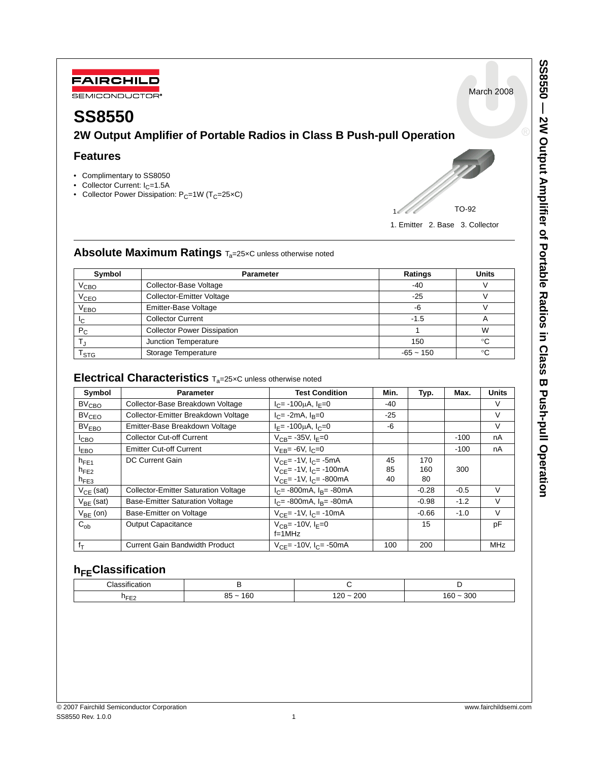

March 2008

# **SS8550**

**2W Output Amplifier of Portable Radios in Class B Push-pull Operation**

# **Features**

- Complimentary to SS8050
- Collector Current:  $I_C = 1.5A$
- Collector Power Dissipation:  $P_C=1W$  (T<sub>C</sub>=25×C)



1. Emitter 2. Base 3. Collector

# **Absolute Maximum Ratings T<sub>a</sub>=25xC unless otherwise noted**

| Symbol                      | <b>Parameter</b>                   | Ratings     | <b>Units</b> |  |
|-----------------------------|------------------------------------|-------------|--------------|--|
| $V_{\mathsf{CBO}}$          | Collector-Base Voltage             | $-40$       |              |  |
| V <sub>CEO</sub>            | <b>Collector-Emitter Voltage</b>   | $-25$       |              |  |
| V <sub>EBO</sub>            | Emitter-Base Voltage               | -6          |              |  |
| ТC                          | <b>Collector Current</b>           | $-1.5$      |              |  |
| $P_{C}$                     | <b>Collector Power Dissipation</b> |             | W            |  |
|                             | Junction Temperature               |             | °C           |  |
| $\mathsf{r}_{\texttt{STG}}$ | Storage Temperature                | $-65 - 150$ | °C           |  |

# **Electrical Characteristics**  $T_a = 25 \times C$  unless otherwise noted

| Symbol            | <b>Parameter</b>                            | <b>Test Condition</b>                             | Min.  | Typ.    | Max.   | <b>Units</b> |
|-------------------|---------------------------------------------|---------------------------------------------------|-------|---------|--------|--------------|
| $BV_{CRO}$        | Collector-Base Breakdown Voltage            | $I_C$ = -100 $\mu$ A, $I_F$ =0                    | $-40$ |         |        | V            |
| $BV_{CFO}$        | Collector-Emitter Breakdown Voltage         | $I_C$ = -2mA, $I_B$ =0                            | $-25$ |         |        | V            |
| BV <sub>EBO</sub> | Emitter-Base Breakdown Voltage              | $I_F$ = -100 $\mu$ A, $I_C$ =0                    | $-6$  |         |        | $\vee$       |
| I <sub>CBO</sub>  | <b>Collector Cut-off Current</b>            | $V_{CP} = -35V, I_F = 0$                          |       |         | $-100$ | nA           |
| <b>LEBO</b>       | <b>Emitter Cut-off Current</b>              | $V_{FB} = -6V, I_C = 0$                           |       |         | $-100$ | nA           |
| $h_{FE1}$         | DC Current Gain                             | $V_{CF}$ = -1V, $I_{C}$ = -5mA                    | 45    | 170     |        |              |
| $h_{FE2}$         |                                             | $V_{CF}$ = -1V, $I_{C}$ = -100mA                  | 85    | 160     | 300    |              |
| $h_{FE3}$         |                                             | $V_{CF}$ = -1V, $I_{C}$ = -800mA                  | 40    | 80      |        |              |
| $V_{CF}$ (sat)    | <b>Collector-Emitter Saturation Voltage</b> | $I_C$ = -800mA, $I_B$ = -80mA                     |       | $-0.28$ | $-0.5$ | V            |
| $V_{BF}$ (sat)    | <b>Base-Emitter Saturation Voltage</b>      | $I_C$ = -800mA, $I_B$ = -80mA                     |       | $-0.98$ | $-1.2$ | V            |
| $V_{BF}$ (on)     | Base-Emitter on Voltage                     | $V_{C} = -1V$ , $I_{C} = -10mA$                   |       | $-0.66$ | $-1.0$ | V            |
| $C_{ob}$          | <b>Output Capacitance</b>                   | $V_{CB} = -10V, I_E = 0$                          |       | 15      |        | pF           |
|                   |                                             | $f=1MHz$                                          |       |         |        |              |
| $f_T$             | <b>Current Gain Bandwidth Product</b>       | $V_{\text{CE}} = -10V$ , $I_{\text{CE}} = -50$ mA | 100   | 200     |        | <b>MHz</b>   |

# **h**<sub>FF</sub>Classification

| $\cdot$<br>$\cap$                                                                                                    | --    |  |  |
|----------------------------------------------------------------------------------------------------------------------|-------|--|--|
|                                                                                                                      | 1.IUI |  |  |
| 200<br>200<br>160<br>$\sim$ $-$<br>$\sim$<br>חר ו<br>16U<br>85<br>300<br>-<br>__<br>and the control of the con-<br>∽ |       |  |  |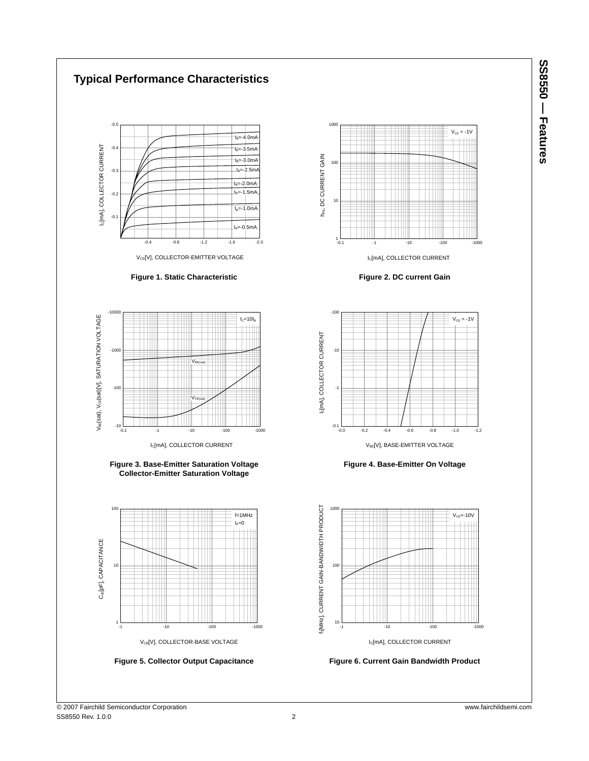SS8550 – Features **SS8550 — Features**